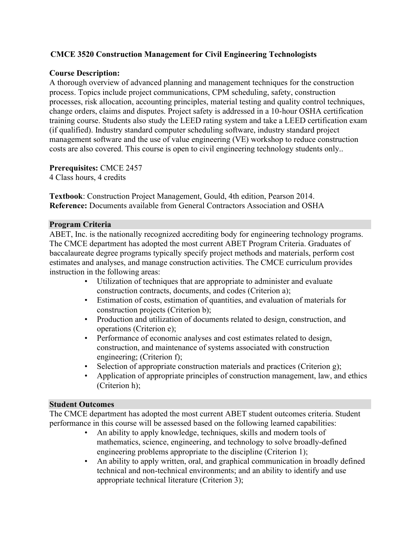## CMCE 3520 Construction Management for Civil Engineering Technologists

## Course Description:

 A thorough overview of advanced planning and management techniques for the construction process. Topics include project communications, CPM scheduling, safety, construction processes, risk allocation, accounting principles, material testing and quality control techniques, change orders, claims and disputes. Project safety is addressed in a 10-hour OSHA certification training course. Students also study the LEED rating system and take a LEED certification exam (if qualified). Industry standard computer scheduling software, industry standard project management software and the use of value engineering (VE) workshop to reduce construction costs are also covered. This course is open to civil engineering technology students only..

## Prerequisites: CMCE 2457

4 Class hours, 4 credits

 Textbook: Construction Project Management, Gould, 4th edition, Pearson 2014. Reference: Documents available from General Contractors Association and OSHA

#### Program Criteria

 ABET, Inc. is the nationally recognized accrediting body for engineering technology programs. The CMCE department has adopted the most current ABET Program Criteria. Graduates of baccalaureate degree programs typically specify project methods and materials, perform cost estimates and analyses, and manage construction activities. The CMCE curriculum provides instruction in the following areas:

- • Utilization of techniques that are appropriate to administer and evaluate construction contracts, documents, and codes (Criterion a);
- • Estimation of costs, estimation of quantities, and evaluation of materials for construction projects (Criterion b);
- • Production and utilization of documents related to design, construction, and operations (Criterion e);
- • Performance of economic analyses and cost estimates related to design, construction, and maintenance of systems associated with construction engineering; (Criterion f);
- Selection of appropriate construction materials and practices (Criterion g);
- • Application of appropriate principles of construction management, law, and ethics (Criterion h);

### Student Outcomes

 The CMCE department has adopted the most current ABET student outcomes criteria. Student performance in this course will be assessed based on the following learned capabilities:

- • An ability to apply knowledge, techniques, skills and modern tools of mathematics, science, engineering, and technology to solve broadly-defined engineering problems appropriate to the discipline (Criterion 1);
- • An ability to apply written, oral, and graphical communication in broadly defined technical and non-technical environments; and an ability to identify and use appropriate technical literature (Criterion 3);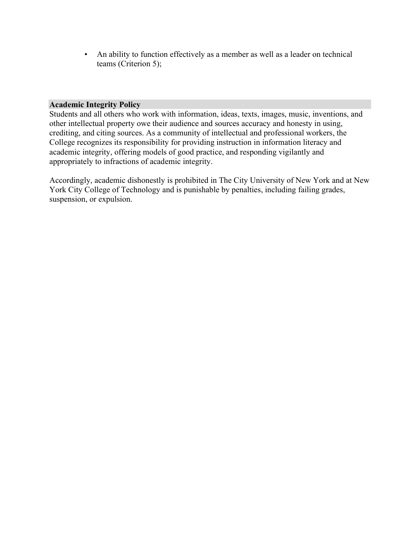• An ability to function effectively as a member as well as a leader on technical teams (Criterion 5);

#### Academic Integrity Policy

 Students and all others who work with information, ideas, texts, images, music, inventions, and other intellectual property owe their audience and sources accuracy and honesty in using, crediting, and citing sources. As a community of intellectual and professional workers, the College recognizes its responsibility for providing instruction in information literacy and academic integrity, offering models of good practice, and responding vigilantly and appropriately to infractions of academic integrity.

 Accordingly, academic dishonestly is prohibited in The City University of New York and at New York City College of Technology and is punishable by penalties, including failing grades, suspension, or expulsion.